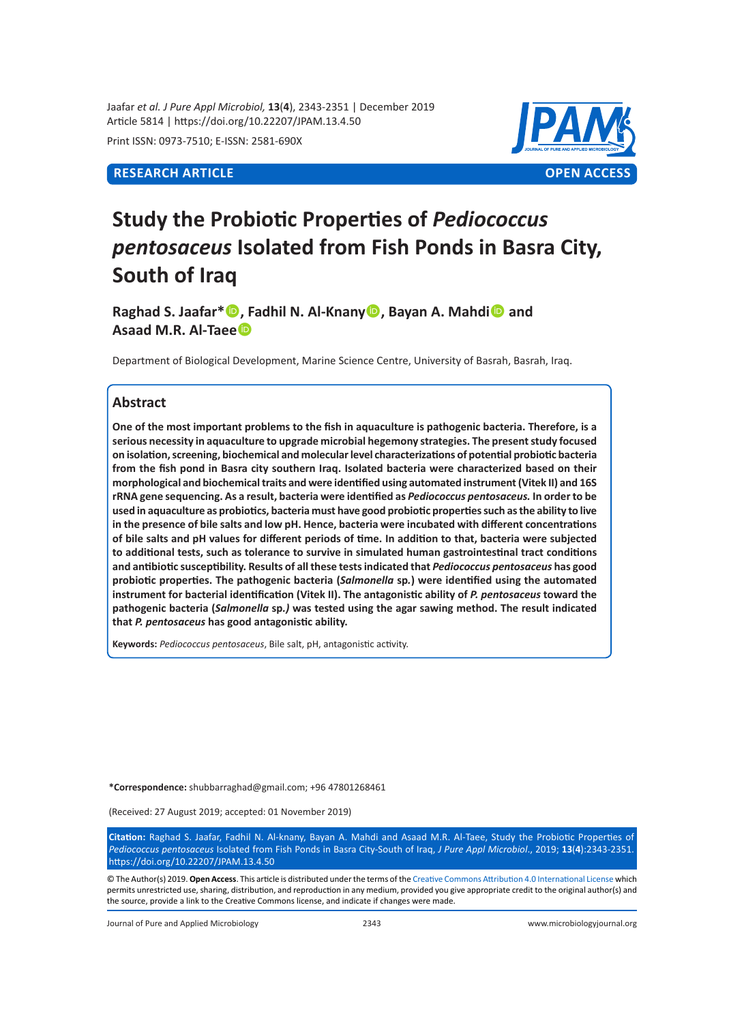Jaafar *et al. J Pure Appl Microbiol,* **13**(**4**), 2343-2351 | December 2019 Article 5814 | https://doi.org/10.22207/JPAM.13.4.50

Print ISSN: 0973-7510; E-ISSN: 2581-690X

# **RESEARCH ARTICLE OPEN ACCESS**



# **Study the Probiotic Properties of** *Pediococcus pentosaceus* **Isolated from Fish Ponds in Basra City, South of Iraq**

**Raghad S. Jaafar\*, Fadhil N. Al-Knany, Bayan A. Mahdi and Asaad M.R. Al-Taee**

Department of Biological Development, Marine Science Centre, University of Basrah, Basrah, Iraq.

## **Abstract**

**One of the most important problems to the fish in aquaculture is pathogenic bacteria. Therefore, is a serious necessity in aquaculture to upgrade microbial hegemony strategies. The present study focused on isolation, screening, biochemical and molecular level characterizations of potential probiotic bacteria from the fish pond in Basra city southern Iraq. Isolated bacteria were characterized based on their morphological and biochemical traits and were identified using automated instrument (Vitek II) and 16S rRNA gene sequencing. As a result, bacteria were identified as** *Pediococcus pentosaceus.* **In order to be used in aquaculture as probiotics, bacteria must have good probiotic properties such as the ability to live in the presence of bile salts and low pH. Hence, bacteria were incubated with different concentrations of bile salts and pH values for different periods of time. In addition to that, bacteria were subjected to additional tests, such as tolerance to survive in simulated human gastrointestinal tract conditions and antibiotic susceptibility. Results of all these tests indicated that** *Pediococcus pentosaceus* **has good probiotic properties. The pathogenic bacteria (***Salmonella* **sp***.***) were identified using the automated instrument for bacterial identification (Vitek II). The antagonistic ability of** *P. pentosaceus* **toward the pathogenic bacteria (***Salmonella* **sp***.)* **was tested using the agar sawing method. The result indicated that** *P. pentosaceus* **has good antagonistic ability.**

**Keywords:** *Pediococcus pentosaceus*, Bile salt, pH, antagonistic activity.

**\*Correspondence:** shubbarraghad@gmail.com; +96 47801268461

(Received: 27 August 2019; accepted: 01 November 2019)

**Citation:** Raghad S. Jaafar, Fadhil N. Al-knany, Bayan A. Mahdi and Asaad M.R. Al-Taee, Study the Probiotic Properties of *Pediococcus pentosaceus* Isolated from Fish Ponds in Basra City-South of Iraq, *J Pure Appl Microbiol*., 2019; **13**(**4**):2343-2351. https://doi.org/10.22207/JPAM.13.4.50

© The Author(s) 2019. **Open Access**. This article is distributed under the terms of the [Creative Commons Attribution 4.0 International License](https://creativecommons.org/licenses/by/4.0/) which permits unrestricted use, sharing, distribution, and reproduction in any medium, provided you give appropriate credit to the original author(s) and the source, provide a link to the Creative Commons license, and indicate if changes were made.

Journal of Pure and Applied Microbiology 2343 www.microbiologyjournal.org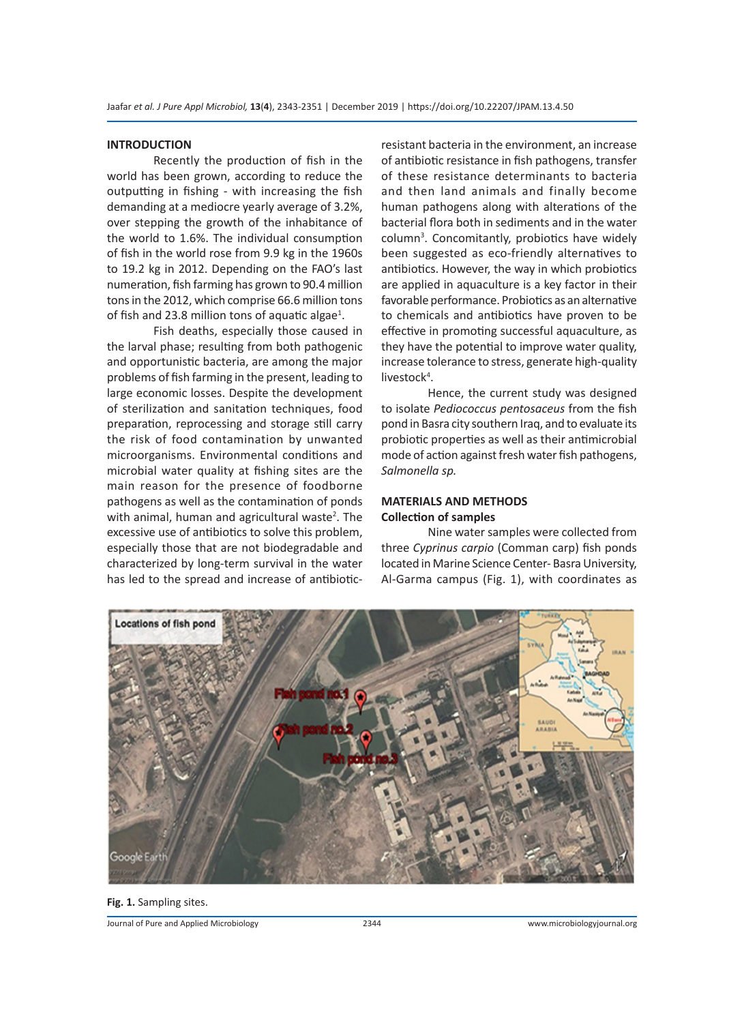## **INTRODUCTION**

Recently the production of fish in the world has been grown, according to reduce the outputting in fishing - with increasing the fish demanding at a mediocre yearly average of 3.2%, over stepping the growth of the inhabitance of the world to 1.6%. The individual consumption of fish in the world rose from 9.9 kg in the 1960s to 19.2 kg in 2012. Depending on the FAO's last numeration, fish farming has grown to 90.4 million tons in the 2012, which comprise 66.6 million tons of fish and 23.8 million tons of aquatic algae<sup>1</sup>.

Fish deaths, especially those caused in the larval phase; resulting from both pathogenic and opportunistic bacteria, are among the major problems of fish farming in the present, leading to large economic losses. Despite the development of sterilization and sanitation techniques, food preparation, reprocessing and storage still carry the risk of food contamination by unwanted microorganisms. Environmental conditions and microbial water quality at fishing sites are the main reason for the presence of foodborne pathogens as well as the contamination of ponds with animal, human and agricultural waste<sup>2</sup>. The excessive use of antibiotics to solve this problem, especially those that are not biodegradable and characterized by long-term survival in the water has led to the spread and increase of antibioticresistant bacteria in the environment, an increase of antibiotic resistance in fish pathogens, transfer of these resistance determinants to bacteria and then land animals and finally become human pathogens along with alterations of the bacterial flora both in sediments and in the water column<sup>3</sup>. Concomitantly, probiotics have widely been suggested as eco-friendly alternatives to antibiotics. However, the way in which probiotics are applied in aquaculture is a key factor in their favorable performance. Probiotics as an alternative to chemicals and antibiotics have proven to be effective in promoting successful aquaculture, as they have the potential to improve water quality, increase tolerance to stress, generate high-quality livestock<sup>4</sup>.

Hence, the current study was designed to isolate *Pediococcus pentosaceus* from the fish pond in Basra city southern Iraq, and to evaluate its probiotic properties as well as their antimicrobial mode of action against fresh water fish pathogens, *Salmonella sp.* 

## **MATERIALS AND METHODS Collection of samples**

Nine water samples were collected from three *Cyprinus carpio* (Comman carp) fish ponds located in Marine Science Center- Basra University, Al-Garma campus (Fig. 1), with coordinates as



**Fig. 1.** Sampling sites.

Journal of Pure and Applied Microbiology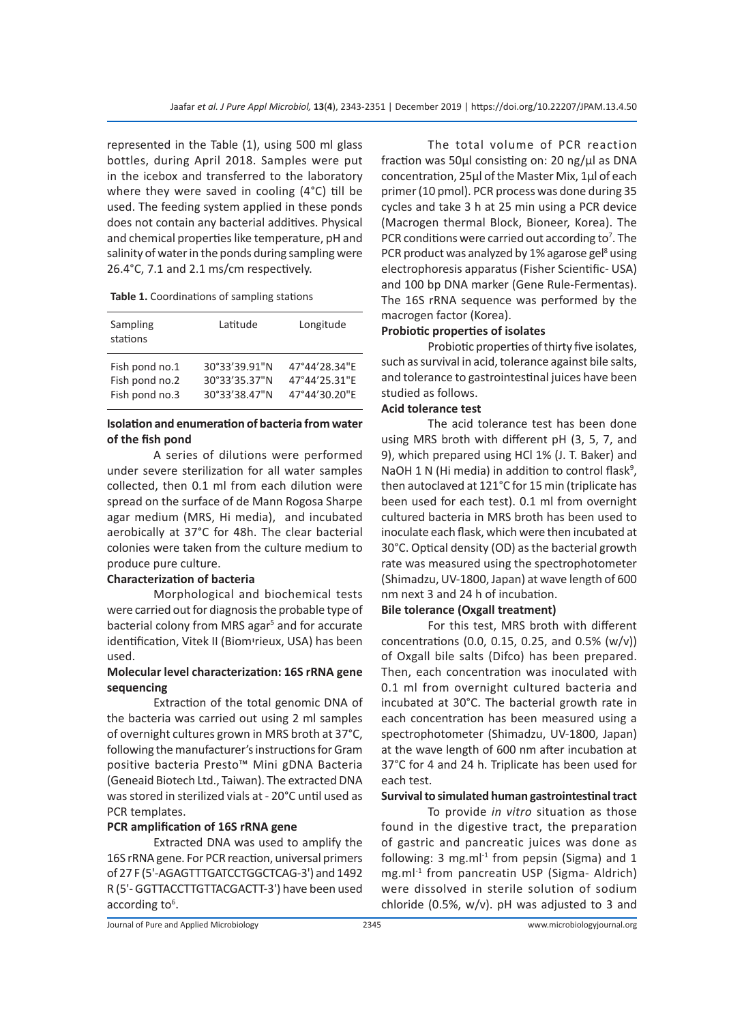represented in the Table (1), using 500 ml glass bottles, during April 2018. Samples were put in the icebox and transferred to the laboratory where they were saved in cooling (4°C) till be used. The feeding system applied in these ponds does not contain any bacterial additives. Physical and chemical properties like temperature, pH and salinity of water in the ponds during sampling were 26.4°C, 7.1 and 2.1 ms/cm respectively.

| Sampling<br>stations | Latitude      | Longitude     |  |  |
|----------------------|---------------|---------------|--|--|
| Fish pond no.1       | 30°33'39.91"N | 47°44'28.34"F |  |  |
| Fish pond no.2       | 30°33'35.37"N | 47°44'25.31"E |  |  |
| Fish pond no.3       | 30°33'38.47"N | 47°44'30.20"E |  |  |

# **Isolation and enumeration of bacteria from water of the fish pond**

A series of dilutions were performed under severe sterilization for all water samples collected, then 0.1 ml from each dilution were spread on the surface of de Mann Rogosa Sharpe agar medium (MRS, Hi media), and incubated aerobically at 37°C for 48h. The clear bacterial colonies were taken from the culture medium to produce pure culture.

## **Characterization of bacteria**

Morphological and biochemical tests were carried out for diagnosis the probable type of bacterial colony from MRS agar<sup>5</sup> and for accurate identification, Vitek II (Biomיrieux, USA) has been used.

## **Molecular level characterization: 16S rRNA gene sequencing**

Extraction of the total genomic DNA of the bacteria was carried out using 2 ml samples of overnight cultures grown in MRS broth at 37°C, following the manufacturer's instructions for Gram positive bacteria Presto™ Mini gDNA Bacteria (Geneaid Biotech Ltd., Taiwan). The extracted DNA was stored in sterilized vials at - 20°C until used as PCR templates.

#### **PCR amplification of 16S rRNA gene**

Extracted DNA was used to amplify the 16S rRNA gene. For PCR reaction, universal primers of 27 F (5'-AGAGTTTGATCCTGGCTCAG-3') and 1492 R (5'- GGTTACCTTGTTACGACTT-3') have been used according to<sup>6</sup>.

The total volume of PCR reaction fraction was 50µl consisting on: 20 ng/µl as DNA concentration, 25µl of the Master Mix, 1µl of each primer (10 pmol). PCR process was done during 35 cycles and take 3 h at 25 min using a PCR device (Macrogen thermal Block, Bioneer, Korea). The PCR conditions were carried out according to<sup>7</sup>. The PCR product was analyzed by 1% agarose gel<sup>8</sup> using electrophoresis apparatus (Fisher Scientific- USA) and 100 bp DNA marker (Gene Rule-Fermentas). The 16S rRNA sequence was performed by the macrogen factor (Korea).

## **Probiotic properties of isolates**

Probiotic properties of thirty five isolates, such as survival in acid, tolerance against bile salts, and tolerance to gastrointestinal juices have been studied as follows.

## **Acid tolerance test**

The acid tolerance test has been done using MRS broth with different pH (3, 5, 7, and 9), which prepared using HCl 1% (J. T. Baker) and NaOH 1 N (Hi media) in addition to control flask<sup>9</sup>, then autoclaved at 121°C for 15 min (triplicate has been used for each test). 0.1 ml from overnight cultured bacteria in MRS broth has been used to inoculate each flask, which were then incubated at 30°C. Optical density (OD) as the bacterial growth rate was measured using the spectrophotometer (Shimadzu, UV-1800, Japan) at wave length of 600 nm next 3 and 24 h of incubation.

# **Bile tolerance (Oxgall treatment)**

For this test, MRS broth with different concentrations (0.0, 0.15, 0.25, and 0.5%  $(w/v)$ ) of Oxgall bile salts (Difco) has been prepared. Then, each concentration was inoculated with 0.1 ml from overnight cultured bacteria and incubated at 30°C. The bacterial growth rate in each concentration has been measured using a spectrophotometer (Shimadzu, UV-1800, Japan) at the wave length of 600 nm after incubation at 37°C for 4 and 24 h. Triplicate has been used for each test.

# **Survival to simulated human gastrointestinal tract**

To provide *in vitro* situation as those found in the digestive tract, the preparation of gastric and pancreatic juices was done as following:  $3 \text{ mg.m}$ <sup>1</sup> from pepsin (Sigma) and  $1$ mg.ml<sup>-1</sup> from pancreatin USP (Sigma- Aldrich) were dissolved in sterile solution of sodium chloride (0.5%, w/v). pH was adjusted to 3 and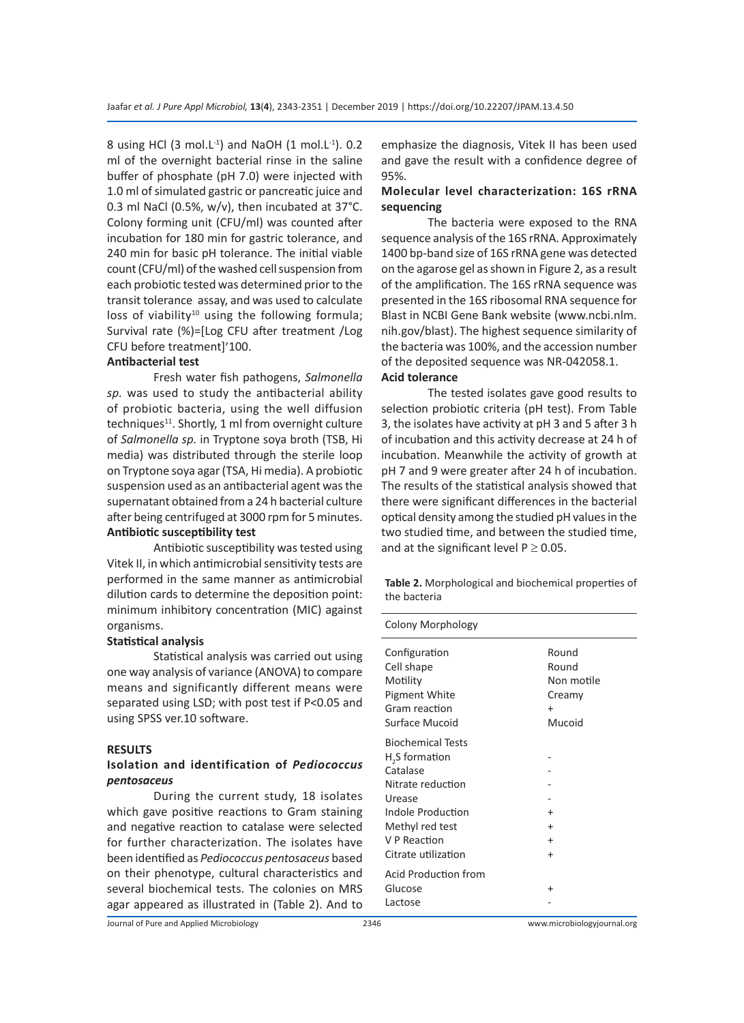8 using HCl (3 mol.L<sup>-1</sup>) and NaOH (1 mol.L<sup>-1</sup>). 0.2 ml of the overnight bacterial rinse in the saline buffer of phosphate (pH 7.0) were injected with 1.0 ml of simulated gastric or pancreatic juice and 0.3 ml NaCl (0.5%, w/v), then incubated at 37°C. Colony forming unit (CFU/ml) was counted after incubation for 180 min for gastric tolerance, and 240 min for basic pH tolerance. The initial viable count (CFU/ml) of the washed cell suspension from each probiotic tested was determined prior to the transit tolerance assay, and was used to calculate loss of viability<sup>10</sup> using the following formula; Survival rate (%)=[Log CFU after treatment /Log CFU before treatment]׳100.

## **Antibacterial test**

Fresh water fish pathogens, *Salmonella sp.* was used to study the antibacterial ability of probiotic bacteria, using the well diffusion techniques<sup>11</sup>. Shortly, 1 ml from overnight culture of *Salmonella sp.* in Tryptone soya broth (TSB, Hi media) was distributed through the sterile loop on Tryptone soya agar (TSA, Hi media). A probiotic suspension used as an antibacterial agent was the supernatant obtained from a 24 h bacterial culture after being centrifuged at 3000 rpm for 5 minutes. **Antibiotic susceptibility test**

Antibiotic susceptibility was tested using Vitek II, in which antimicrobial sensitivity tests are performed in the same manner as antimicrobial dilution cards to determine the deposition point: minimum inhibitory concentration (MIC) against organisms.

## **Statistical analysis**

Statistical analysis was carried out using one way analysis of variance (ANOVA) to compare means and significantly different means were separated using LSD; with post test if P<0.05 and using SPSS ver.10 software.

#### **RESULTS**

# **Isolation and identification of** *Pediococcus pentosaceus*

During the current study, 18 isolates which gave positive reactions to Gram staining and negative reaction to catalase were selected for further characterization. The isolates have been identified as *Pediococcus pentosaceus* based on their phenotype, cultural characteristics and several biochemical tests. The colonies on MRS agar appeared as illustrated in (Table 2). And to

emphasize the diagnosis, Vitek II has been used and gave the result with a confidence degree of 95%.

# **Molecular level characterization: 16S rRNA sequencing**

The bacteria were exposed to the RNA sequence analysis of the 16S rRNA. Approximately 1400 bp-band size of 16S rRNA gene was detected on the agarose gel as shown in Figure 2, as a result of the amplification. The 16S rRNA sequence was presented in the 16S ribosomal RNA sequence for Blast in NCBI Gene Bank website (www.ncbi.nlm. nih.gov/blast). The highest sequence similarity of the bacteria was 100%, and the accession number of the deposited sequence was NR-042058.1. **Acid tolerance**

The tested isolates gave good results to selection probiotic criteria (pH test). From Table 3, the isolates have activity at pH 3 and 5 after 3 h of incubation and this activity decrease at 24 h of incubation. Meanwhile the activity of growth at pH 7 and 9 were greater after 24 h of incubation. The results of the statistical analysis showed that there were significant differences in the bacterial optical density among the studied pH values in the two studied time, and between the studied time, and at the significant level  $P \geq 0.05$ .

**Table 2.** Morphological and biochemical properties of the bacteria

| Colony Morphology                                                                                                                                                                |                                                               |
|----------------------------------------------------------------------------------------------------------------------------------------------------------------------------------|---------------------------------------------------------------|
| Configuration<br>Cell shape<br>Motility<br><b>Pigment White</b><br>Gram reaction<br>Surface Mucoid                                                                               | Round<br>Round<br>Non motile<br>Creamy<br>$\ddot{}$<br>Mucoid |
| <b>Biochemical Tests</b><br>H <sub>2</sub> S formation<br>Catalase<br>Nitrate reduction<br>Urease<br>Indole Production<br>Methyl red test<br>V P Reaction<br>Citrate utilization | +<br>$\ddot{}$<br>$\ddot{}$<br>$\ddot{}$                      |
| <b>Acid Production from</b><br>Glucose<br>Lactose                                                                                                                                | +                                                             |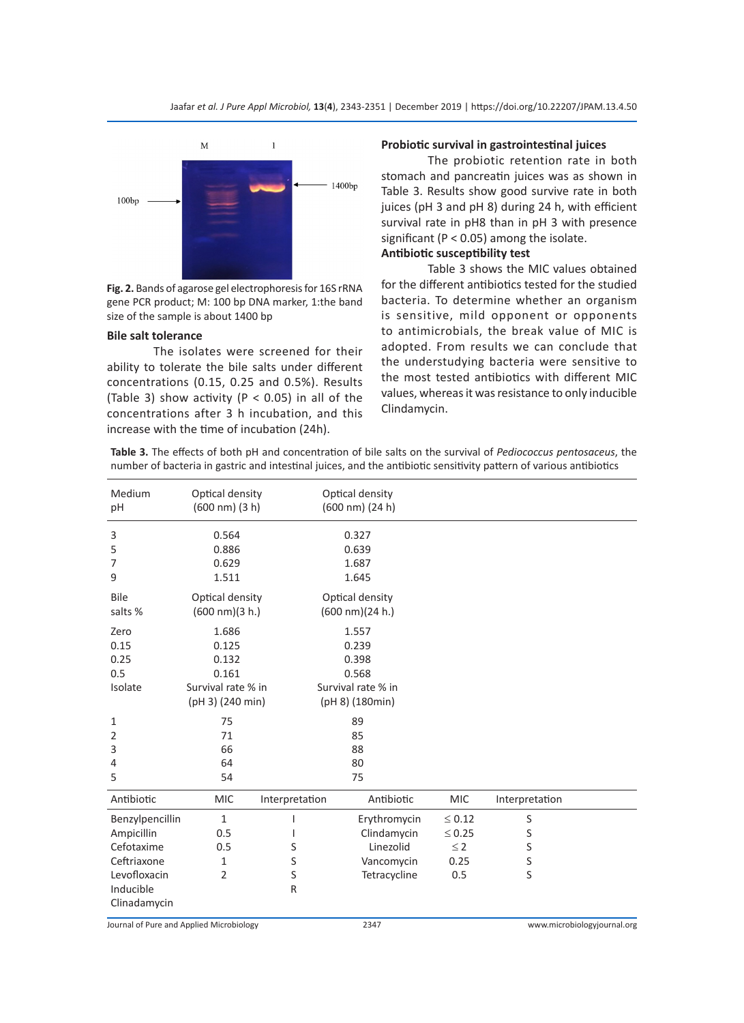Jaafar *et al. J Pure Appl Microbiol,* **13**(**4**), 2343-2351 | December 2019 | https://doi.org/10.22207/JPAM.13.4.50



**Fig. 2.** Bands of agarose gel electrophoresis for 16S rRNA gene PCR product; M: 100 bp DNA marker, 1:the band size of the sample is about 1400 bp

## **Bile salt tolerance**

The isolates were screened for their ability to tolerate the bile salts under different concentrations (0.15, 0.25 and 0.5%). Results (Table 3) show activity ( $P < 0.05$ ) in all of the concentrations after 3 h incubation, and this increase with the time of incubation (24h).

## **Probiotic survival in gastrointestinal juices**

The probiotic retention rate in both stomach and pancreatin juices was as shown in Table 3. Results show good survive rate in both juices (pH 3 and pH 8) during 24 h, with efficient survival rate in pH8 than in pH 3 with presence significant ( $P < 0.05$ ) among the isolate.

# **Antibiotic susceptibility test**

Table 3 shows the MIC values obtained for the different antibiotics tested for the studied bacteria. To determine whether an organism is sensitive, mild opponent or opponents to antimicrobials, the break value of MIC is adopted. From results we can conclude that the understudying bacteria were sensitive to the most tested antibiotics with different MIC values, whereas it was resistance to only inducible Clindamycin.

**Table 3.** The effects of both pH and concentration of bile salts on the survival of *Pediococcus pentosaceus*, the number of bacteria in gastric and intestinal juices, and the antibiotic sensitivity pattern of various antibiotics

| Medium<br>pH                                                                                            | Optical density<br>$(600 nm)$ $(3 h)$                                      |                       | Optical density<br>(600 nm) (24 h)                                        |                                                       |                                 |  |
|---------------------------------------------------------------------------------------------------------|----------------------------------------------------------------------------|-----------------------|---------------------------------------------------------------------------|-------------------------------------------------------|---------------------------------|--|
| 3<br>5<br>7<br>9                                                                                        | 0.564<br>0.886<br>0.629<br>1.511                                           |                       | 0.327<br>0.639<br>1.687<br>1.645                                          |                                                       |                                 |  |
| Bile<br>salts %                                                                                         | Optical density<br>$(600 \text{ nm})(3 \text{ h.})$                        |                       | Optical density<br>$(600 \text{ nm})(24 \text{ h.})$                      |                                                       |                                 |  |
| Zero<br>0.15<br>0.25<br>0.5<br>Isolate                                                                  | 1.686<br>0.125<br>0.132<br>0.161<br>Survival rate % in<br>(pH 3) (240 min) |                       | 1.557<br>0.239<br>0.398<br>0.568<br>Survival rate % in<br>(pH 8) (180min) |                                                       |                                 |  |
| 1<br>2<br>3<br>4<br>5                                                                                   | 75<br>71<br>66<br>64<br>54                                                 |                       | 89<br>85<br>88<br>80<br>75                                                |                                                       |                                 |  |
| Antibiotic                                                                                              | <b>MIC</b>                                                                 | Interpretation        | Antibiotic                                                                | <b>MIC</b>                                            | Interpretation                  |  |
| Benzylpencillin<br>Ampicillin<br>Cefotaxime<br>Ceftriaxone<br>Levofloxacin<br>Inducible<br>Clinadamycin | 1<br>0.5<br>0.5<br>1<br>2                                                  | T<br>S<br>S<br>S<br>R | Erythromycin<br>Clindamycin<br>Linezolid<br>Vancomycin<br>Tetracycline    | $\leq 0.12$<br>$\leq 0.25$<br>$\leq$ 2<br>0.25<br>0.5 | S<br>S<br>S<br>S<br>$\mathsf S$ |  |

Journal of Pure and Applied Microbiology 2347 www.microbiologyjournal.org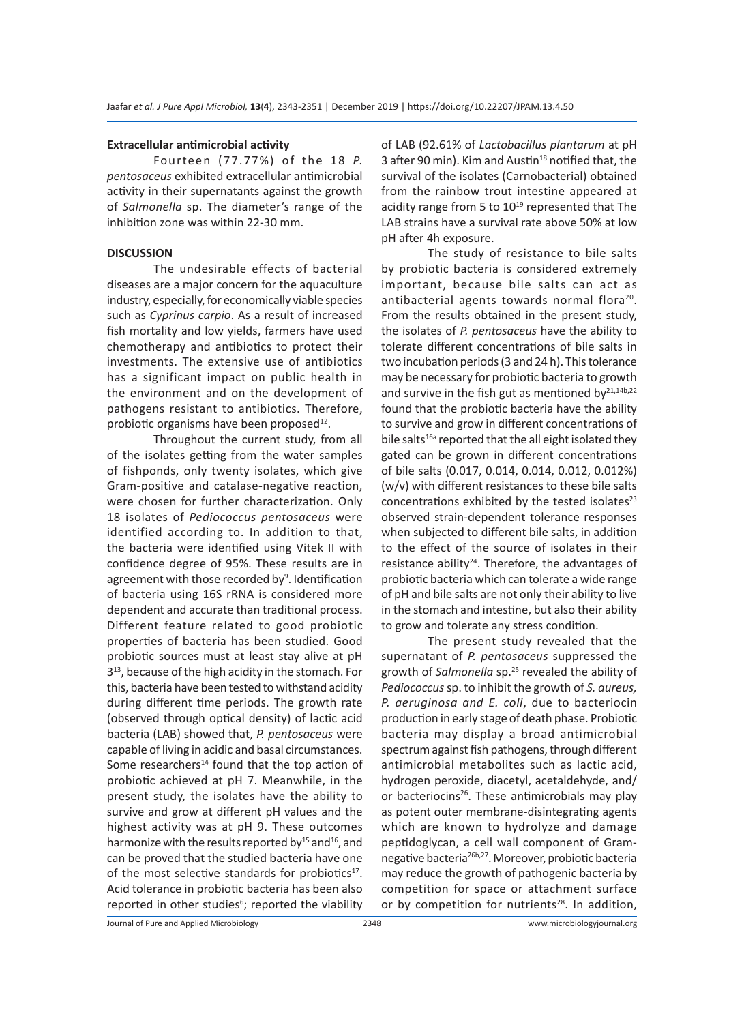#### **Extracellular antimicrobial activity**

Fourteen (77.77%) of the 18 *P. pentosaceus* exhibited extracellular antimicrobial activity in their supernatants against the growth of *Salmonella* sp. The diameter's range of the inhibition zone was within 22-30 mm.

## **DISCUSSION**

The undesirable effects of bacterial diseases are a major concern for the aquaculture industry, especially, for economically viable species such as *Cyprinus carpio*. As a result of increased fish mortality and low yields, farmers have used chemotherapy and antibiotics to protect their investments. The extensive use of antibiotics has a significant impact on public health in the environment and on the development of pathogens resistant to antibiotics. Therefore, probiotic organisms have been proposed<sup>12</sup>.

Throughout the current study, from all of the isolates getting from the water samples of fishponds, only twenty isolates, which give Gram-positive and catalase-negative reaction, were chosen for further characterization. Only 18 isolates of *Pediococcus pentosaceus* were identified according to. In addition to that, the bacteria were identified using Vitek II with confidence degree of 95%. These results are in agreement with those recorded by<sup>9</sup>. Identification of bacteria using 16S rRNA is considered more dependent and accurate than traditional process. Different feature related to good probiotic properties of bacteria has been studied. Good probiotic sources must at least stay alive at pH  $3<sup>13</sup>$ , because of the high acidity in the stomach. For this, bacteria have been tested to withstand acidity during different time periods. The growth rate (observed through optical density) of lactic acid bacteria (LAB) showed that, *P. pentosaceus* were capable of living in acidic and basal circumstances. Some researchers $14$  found that the top action of probiotic achieved at pH 7. Meanwhile, in the present study, the isolates have the ability to survive and grow at different pH values and the highest activity was at pH 9. These outcomes harmonize with the results reported by $^{15}$  and  $^{16}$ , and can be proved that the studied bacteria have one of the most selective standards for probiotics $17$ . Acid tolerance in probiotic bacteria has been also reported in other studies<sup>6</sup>; reported the viability of LAB (92.61% of *Lactobacillus plantarum* at pH 3 after 90 min). Kim and Austin $18$  notified that, the survival of the isolates (Carnobacterial) obtained from the rainbow trout intestine appeared at acidity range from 5 to  $10^{19}$  represented that The LAB strains have a survival rate above 50% at low pH after 4h exposure.

The study of resistance to bile salts by probiotic bacteria is considered extremely important, because bile salts can act as antibacterial agents towards normal flora<sup>20</sup>. From the results obtained in the present study, the isolates of *P. pentosaceus* have the ability to tolerate different concentrations of bile salts in two incubation periods (3 and 24 h). This tolerance may be necessary for probiotic bacteria to growth and survive in the fish gut as mentioned by $21,14b,22$ found that the probiotic bacteria have the ability to survive and grow in different concentrations of bile salts $16a$  reported that the all eight isolated they gated can be grown in different concentrations of bile salts (0.017, 0.014, 0.014, 0.012, 0.012%) (w/v) with different resistances to these bile salts concentrations exhibited by the tested isolates $^{23}$ observed strain-dependent tolerance responses when subjected to different bile salts, in addition to the effect of the source of isolates in their resistance ability<sup>24</sup>. Therefore, the advantages of probiotic bacteria which can tolerate a wide range of pH and bile salts are not only their ability to live in the stomach and intestine, but also their ability to grow and tolerate any stress condition.

The present study revealed that the supernatant of *P. pentosaceus* suppressed the growth of *Salmonella* sp.25 revealed the ability of *Pediococcus* sp. to inhibit the growth of *S. aureus, P. aeruginosa and E. coli*, due to bacteriocin production in early stage of death phase. Probiotic bacteria may display a broad antimicrobial spectrum against fish pathogens, through different antimicrobial metabolites such as lactic acid, hydrogen peroxide, diacetyl, acetaldehyde, and/ or bacteriocins<sup>26</sup>. These antimicrobials may play as potent outer membrane-disintegrating agents which are known to hydrolyze and damage peptidoglycan, a cell wall component of Gramnegative bacteria26b,27. Moreover, probiotic bacteria may reduce the growth of pathogenic bacteria by competition for space or attachment surface or by competition for nutrients<sup>28</sup>. In addition,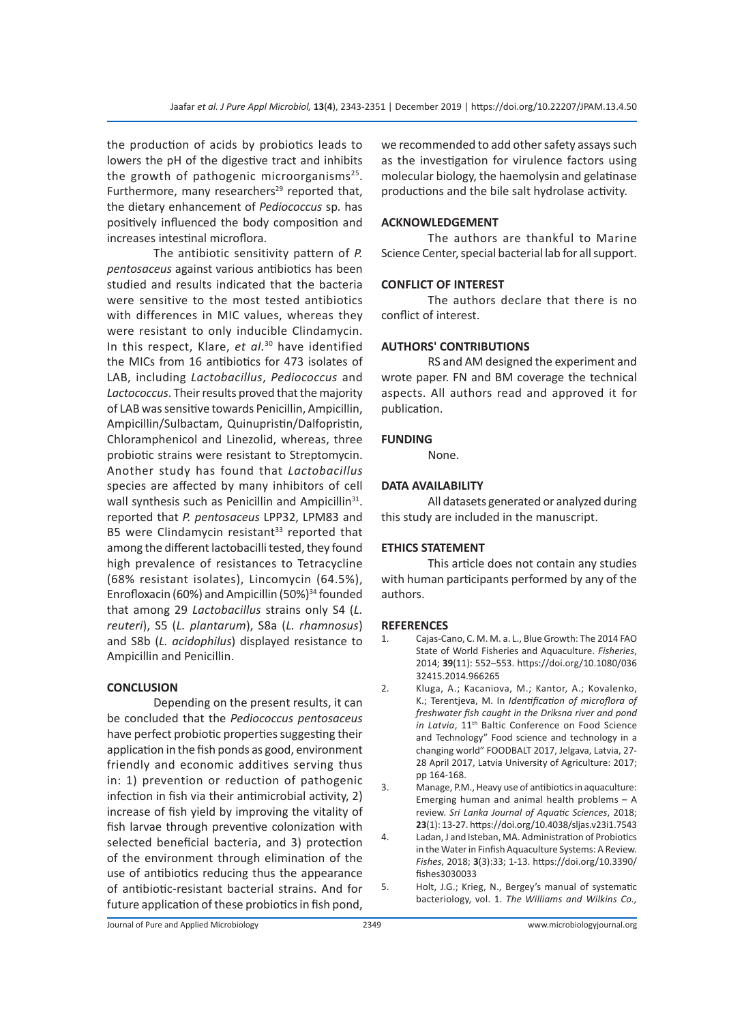the production of acids by probiotics leads to lowers the pH of the digestive tract and inhibits the growth of pathogenic microorganisms $25$ . Furthermore, many researchers<sup>29</sup> reported that, the dietary enhancement of *Pediococcus* sp*.* has positively influenced the body composition and increases intestinal microflora.

The antibiotic sensitivity pattern of *P. pentosaceus* against various antibiotics has been studied and results indicated that the bacteria were sensitive to the most tested antibiotics with differences in MIC values, whereas they were resistant to only inducible Clindamycin. In this respect, Klare, *et al.*30 have identified the MICs from 16 antibiotics for 473 isolates of LAB, including *Lactobacillus*, *Pediococcus* and *Lactococcus*. Their results proved that the majority of LAB was sensitive towards Penicillin, Ampicillin, Ampicillin/Sulbactam, Quinupristin/Dalfopristin, Chloramphenicol and Linezolid, whereas, three probiotic strains were resistant to Streptomycin. Another study has found that *Lactobacillus*  species are affected by many inhibitors of cell wall synthesis such as Penicillin and Ampicillin<sup>31</sup>. reported that *P. pentosaceus* LPP32, LPM83 and B5 were Clindamycin resistant $33$  reported that among the different lactobacilli tested, they found high prevalence of resistances to Tetracycline (68% resistant isolates), Lincomycin (64.5%), Enrofloxacin (60%) and Ampicillin (50%)<sup>34</sup> founded that among 29 *Lactobacillus* strains only S4 (*L. reuteri*), S5 (*L. plantarum*), S8a (*L. rhamnosus*) and S8b (*L. acidophilus*) displayed resistance to Ampicillin and Penicillin.

## **CONCLUSION**

Depending on the present results, it can be concluded that the *Pediococcus pentosaceus* have perfect probiotic properties suggesting their application in the fish ponds as good, environment friendly and economic additives serving thus in: 1) prevention or reduction of pathogenic infection in fish via their antimicrobial activity, 2) increase of fish yield by improving the vitality of fish larvae through preventive colonization with selected beneficial bacteria, and 3) protection of the environment through elimination of the use of antibiotics reducing thus the appearance of antibiotic-resistant bacterial strains. And for future application of these probiotics in fish pond, we recommended to add other safety assays such as the investigation for virulence factors using molecular biology, the haemolysin and gelatinase productions and the bile salt hydrolase activity.

## **ACKNOWLEDGEMENT**

The authors are thankful to Marine Science Center, special bacterial lab for all support.

# **CONFLICT OF INTEREST**

The authors declare that there is no conflict of interest.

## **AUTHORS' CONTRIBUTIONS**

RS and AM designed the experiment and wrote paper. FN and BM coverage the technical aspects. All authors read and approved it for publication.

### **FUNDING**

None.

## **DATA AVAILABILITY**

All datasets generated or analyzed during this study are included in the manuscript.

## **ETHICS STATEMENT**

This article does not contain any studies with human participants performed by any of the authors.

#### **REFERENCES**

- 1. Cajas-Cano, C. M. M. a. L., Blue Growth: The 2014 FAO State of World Fisheries and Aquaculture. *Fisheries*, 2014; **39**(11): 552–553. https://doi.org/10.1080/036 32415.2014.966265
- 2. Kluga, A.; Kacaniova, M.; Kantor, A.; Kovalenko, K.; Terentjeva, M. In *Identification of microflora of freshwater fish caught in the Driksna river and pond in Latvia*, 11<sup>th</sup> Baltic Conference on Food Science and Technology" Food science and technology in a changing world" FOODBALT 2017, Jelgava, Latvia, 27- 28 April 2017, Latvia University of Agriculture: 2017; pp 164-168.
- 3. Manage, P.M., Heavy use of antibiotics in aquaculture: Emerging human and animal health problems – A review. *Sri Lanka Journal of Aquatic Sciences*, 2018; **23**(1): 13-27. https://doi.org/10.4038/sljas.v23i1.7543
- 4. Ladan, J and Isteban, MA. Administration of Probiotics in the Water in Finfish Aquaculture Systems: A Review. *Fishes*, 2018; **3**(3):33; 1-13. https://doi.org/10.3390/ fishes3030033
- 5. Holt, J.G.; Krieg, N., Bergey's manual of systematic bacteriology, vol. 1. *The Williams and Wilkins Co.,*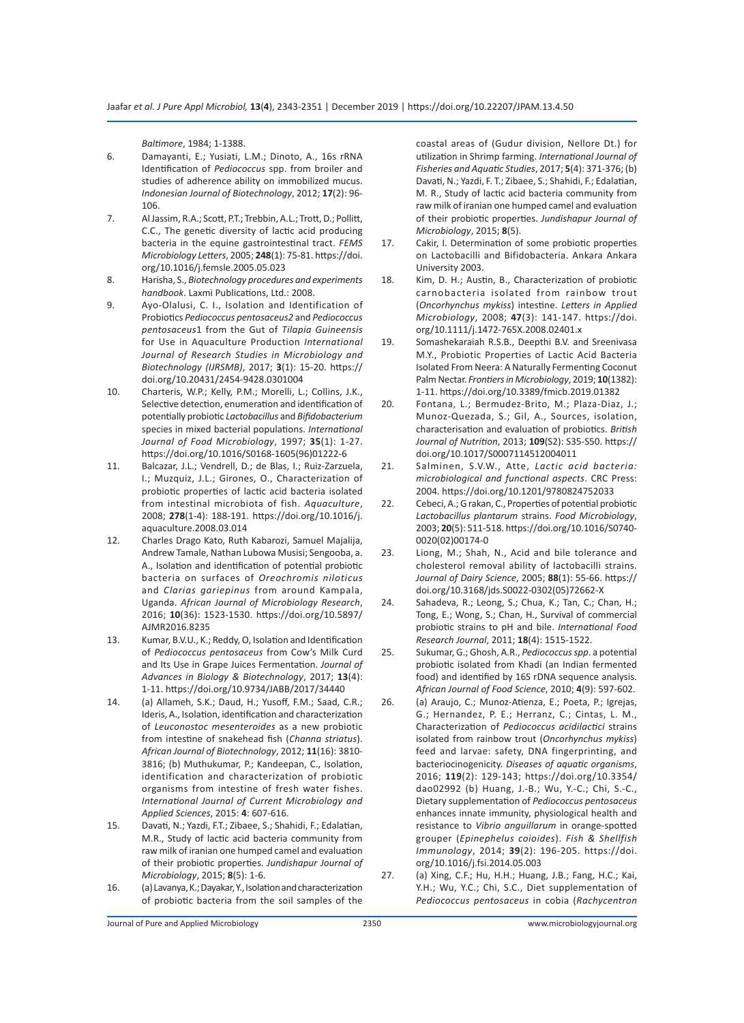*Baltimore*, 1984; 1-1388.

- 6. Damayanti, E.; Yusiati, L.M.; Dinoto, A., 16s rRNA Identification of *Pediococcus* spp. from broiler and studies of adherence ability on immobilized mucus. *Indonesian Journal of Biotechnology*, 2012; **17**(2): 96- 106.
- 7. Al Jassim, R.A.; Scott, P.T.; Trebbin, A.L.; Trott, D.; Pollitt, C.C., The genetic diversity of lactic acid producing bacteria in the equine gastrointestinal tract. *FEMS Microbiology Letters*, 2005; **248**(1): 75-81. https://doi. org/10.1016/j.femsle.2005.05.023
- 8. Harisha, S., *Biotechnology procedures and experiments handbook*. Laxmi Publications, Ltd.: 2008.
- 9. Ayo-Olalusi, C. I., Isolation and Identification of Probiotics *Pediococcus pentosaceus2* and *Pediococcus pentosaceus*1 from the Gut of *Tilapia Guineensis*  for Use in Aquaculture Production *International Journal of Research Studies in Microbiology and Biotechnology (IJRSMB)*, 2017; **3**(1): 15-20. https:// doi.org/10.20431/2454-9428.0301004
- 10. Charteris, W.P.; Kelly, P.M.; Morelli, L.; Collins, J.K., Selective detection, enumeration and identification of potentially probiotic *Lactobacillus* and *Bifidobacterium* species in mixed bacterial populations. *International Journal of Food Microbiology*, 1997; **35**(1): 1-27. https://doi.org/10.1016/S0168-1605(96)01222-6
- 11. Balcazar, J.L.; Vendrell, D.; de Blas, I.; Ruiz-Zarzuela, I.; Muzquiz, J.L.; Girones, O., Characterization of probiotic properties of lactic acid bacteria isolated from intestinal microbiota of fish. *Aquaculture*, 2008; **278**(1-4): 188-191. https://doi.org/10.1016/j. aquaculture.2008.03.014
- 12. Charles Drago Kato, Ruth Kabarozi, Samuel Majalija, Andrew Tamale, Nathan Lubowa Musisi; Sengooba, a. A., Isolation and identification of potential probiotic bacteria on surfaces of *Oreochromis niloticus* and *Clarias gariepinus* from around Kampala, Uganda. *African Journal of Microbiology Research*, 2016; **10**(36): 1523-1530. https://doi.org/10.5897/ AJMR2016.8235
- 13. Kumar, B.V.U., K.; Reddy, O, Isolation and Identification of *Pediococcus pentosaceus* from Cow's Milk Curd and Its Use in Grape Juices Fermentation. *Journal of Advances in Biology & Biotechnology*, 2017; **13**(4): 1-11. https://doi.org/10.9734/JABB/2017/34440
- 14. (a) Allameh, S.K.; Daud, H.; Yusoff, F.M.; Saad, C.R.; Ideris, A., Isolation, identification and characterization of *Leuconostoc mesenteroides* as a new probiotic from intestine of snakehead fish (*Channa striatus*). *African Journal of Biotechnology*, 2012; **11**(16): 3810- 3816; (b) Muthukumar, P.; Kandeepan, C., Isolation, identification and characterization of probiotic organisms from intestine of fresh water fishes. *International Journal of Current Microbiology and Applied Sciences*, 2015: **4**: 607-616.
- 15. Davati, N.; Yazdi, F.T.; Zibaee, S.; Shahidi, F.; Edalatian, M.R., Study of lactic acid bacteria community from raw milk of iranian one humped camel and evaluation of their probiotic properties. *Jundishapur Journal of Microbiology*, 2015; **8**(5): 1-6.
- 16. (a) Lavanya, K.; Dayakar, Y., Isolation and characterization of probiotic bacteria from the soil samples of the

coastal areas of (Gudur division, Nellore Dt.) for utilization in Shrimp farming. *International Journal of Fisheries and Aquatic Studies*, 2017; **5**(4): 371-376; (b) Davati, N.; Yazdi, F. T.; Zibaee, S.; Shahidi, F.; Edalatian, M. R., Study of lactic acid bacteria community from raw milk of iranian one humped camel and evaluation of their probiotic properties. *Jundishapur Journal of Microbiology*, 2015; **8**(5).

- 17. Cakir, I. Determination of some probiotic properties on Lactobacilli and Bifidobacteria. Ankara Ankara University 2003.
- 18. Kim, D. H.; Austin, B., Characterization of probiotic carnobacteria isolated from rainbow trout (*Oncorhynchus mykiss*) intestine. *Letters in Applied Microbiology*, 2008; **47**(3): 141-147. https://doi. org/10.1111/j.1472-765X.2008.02401.x
- 19. Somashekaraiah R.S.B., Deepthi B.V. and Sreenivasa M.Y., Probiotic Properties of Lactic Acid Bacteria Isolated From Neera: A Naturally Fermenting Coconut Palm Nectar. *Frontiers in Microbiology*, 2019; **10**(1382): 1-11. https://doi.org/10.3389/fmicb.2019.01382
- 20. Fontana, L.; Bermudez-Brito, M.; Plaza-Diaz, J.; Munoz-Quezada, S.; Gil, A., Sources, isolation, characterisation and evaluation of probiotics. *British Journal of Nutrition*, 2013; **109**(S2): S35-S50. https:// doi.org/10.1017/S0007114512004011
- 21. Salminen, S.V.W., Atte, *Lactic acid bacteria: microbiological and functional aspects*. CRC Press: 2004. https://doi.org/10.1201/9780824752033
- 22. Cebeci, A.; G rakan, C., Properties of potential probiotic *Lactobacillus plantarum* strains. *Food Microbiology*, 2003; **20**(5): 511-518. https://doi.org/10.1016/S0740- 0020(02)00174-0
- 23. Liong, M.; Shah, N., Acid and bile tolerance and cholesterol removal ability of lactobacilli strains. *Journal of Dairy Science*, 2005; **88**(1): 55-66. https:// doi.org/10.3168/jds.S0022-0302(05)72662-X
- 24. Sahadeva, R.; Leong, S.; Chua, K.; Tan, C.; Chan, H.; Tong, E.; Wong, S.; Chan, H., Survival of commercial probiotic strains to pH and bile. *International Food Research Journal*, 2011; **18**(4): 1515-1522.
- 25. Sukumar, G.; Ghosh, A.R., *Pediococcus spp*. a potential probiotic isolated from Khadi (an Indian fermented food) and identified by 16S rDNA sequence analysis. *African Journal of Food Science*, 2010; **4**(9): 597-602.
- 26. (a) Araujo, C.; Munoz-Atienza, E.; Poeta, P.; Igrejas, G.; Hernandez, P. E.; Herranz, C.; Cintas, L. M., Characterization of *Pediococcus acidilactici* strains isolated from rainbow trout (*Oncorhynchus mykiss*) feed and larvae: safety, DNA fingerprinting, and bacteriocinogenicity. *Diseases of aquatic organisms*, 2016; **119**(2): 129-143; https://doi.org/10.3354/ dao02992 (b) Huang, J.-B.; Wu, Y.-C.; Chi, S.-C., Dietary supplementation of *Pediococcus pentosaceus* enhances innate immunity, physiological health and resistance to *Vibrio anguillarum* in orange-spotted grouper (*Epinephelus coioides*). *Fish & Shellfish Immunology*, 2014; **39**(2): 196-205. https://doi. org/10.1016/j.fsi.2014.05.003
- 27. (a) Xing, C.F.; Hu, H.H.; Huang, J.B.; Fang, H.C.; Kai, Y.H.; Wu, Y.C.; Chi, S.C., Diet supplementation of *Pediococcus pentosaceus* in cobia (*Rachycentron*